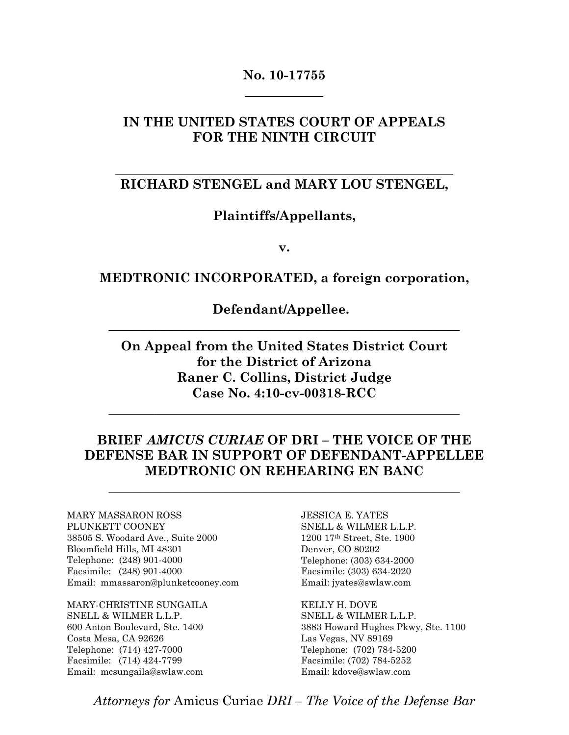### **No. 10-17755**   $\overline{\phantom{a}}$  , where  $\overline{\phantom{a}}$

#### **IN THE UNITED STATES COURT OF APPEALS FOR THE NINTH CIRCUIT**

### **\_\_\_\_\_\_\_\_\_\_\_\_\_\_\_\_\_\_\_\_\_\_\_\_\_\_\_\_\_\_\_\_\_\_\_\_\_\_\_\_\_\_\_\_\_\_\_\_\_\_\_\_ RICHARD STENGEL and MARY LOU STENGEL,**

#### **Plaintiffs/Appellants,**

**v.** 

#### **MEDTRONIC INCORPORATED, a foreign corporation,**

**Defendant/Appellee.** 

**\_\_\_\_\_\_\_\_\_\_\_\_\_\_\_\_\_\_\_\_\_\_\_\_\_\_\_\_\_\_\_\_\_\_\_\_\_\_\_\_\_\_\_\_\_\_\_\_\_\_\_\_\_\_** 

**On Appeal from the United States District Court for the District of Arizona Raner C. Collins, District Judge Case No. 4:10-cv-00318-RCC** 

**\_\_\_\_\_\_\_\_\_\_\_\_\_\_\_\_\_\_\_\_\_\_\_\_\_\_\_\_\_\_\_\_\_\_\_\_\_\_\_\_\_\_\_\_\_\_\_\_\_\_\_\_\_\_** 

### **BRIEF** *AMICUS CURIAE* **OF DRI – THE VOICE OF THE DEFENSE BAR IN SUPPORT OF DEFENDANT-APPELLEE MEDTRONIC ON REHEARING EN BANC**

**\_\_\_\_\_\_\_\_\_\_\_\_\_\_\_\_\_\_\_\_\_\_\_\_\_\_\_\_\_\_\_\_\_\_\_\_\_\_\_\_\_\_\_\_\_\_\_\_\_\_\_\_\_\_** 

MARY MASSARON ROSS PLUNKETT COONEY 38505 S. Woodard Ave., Suite 2000 Bloomfield Hills, MI 48301 Telephone: (248) 901-4000 Facsimile: (248) 901-4000 Email: mmassaron@plunketcooney.com

MARY-CHRISTINE SUNGAILA SNELL & WILMER L.L.P. 600 Anton Boulevard, Ste. 1400 Costa Mesa, CA 92626 Telephone: (714) 427-7000 Facsimile: (714) 424-7799 Email: mcsungaila@swlaw.com

JESSICA E. YATES SNELL & WILMER L.L.P.  $1200$   $17^{\rm th}$  Street, Ste.  $1900$ Denver, CO 80202 Telephone: (303) 634-2000 Facsimile: (303) 634-2020 Email: jyates@swlaw.com

KELLY H. DOVE SNELL & WILMER L.L.P. 3883 Howard Hughes Pkwy, Ste. 1100 Las Vegas, NV 89169 Telephone: (702) 784-5200 Facsimile: (702) 784-5252 Email: kdove@swlaw.com

*Attorneys for* Amicus Curiae *DRI – The Voice of the Defense Bar*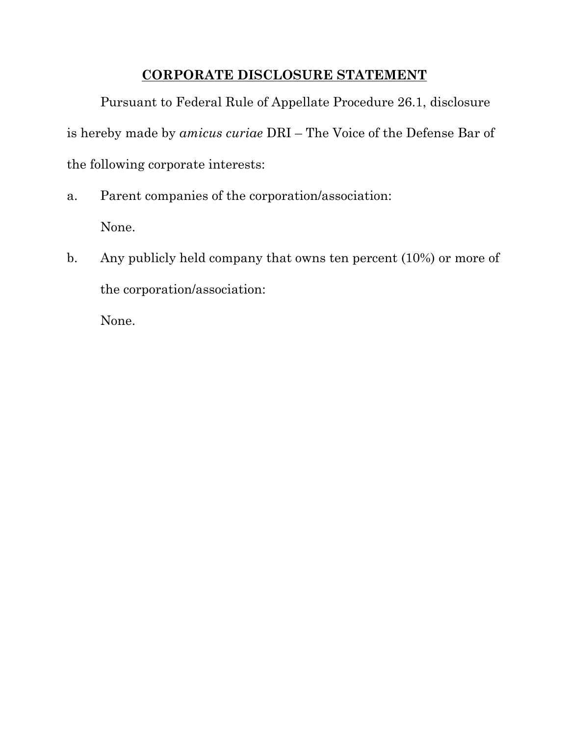# **CORPORATE DISCLOSURE STATEMENT**

Pursuant to Federal Rule of Appellate Procedure 26.1, disclosure is hereby made by *amicus curiae* DRI – The Voice of the Defense Bar of the following corporate interests:

- a. Parent companies of the corporation/association: None.
- b. Any publicly held company that owns ten percent (10%) or more of the corporation/association:

None.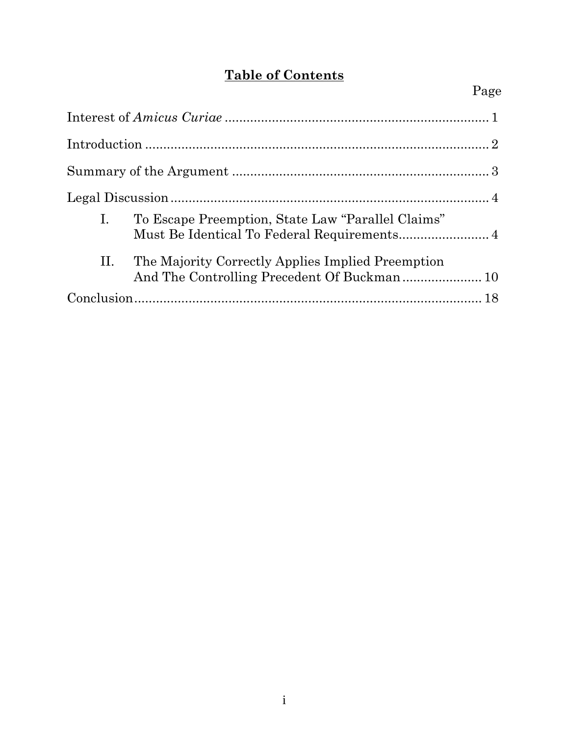# **Table of Contents**

| To Escape Preemption, State Law "Parallel Claims"<br>$\mathbf{I}$ .<br>Must Be Identical To Federal Requirements 4 |
|--------------------------------------------------------------------------------------------------------------------|
| II. The Majority Correctly Applies Implied Preemption                                                              |
|                                                                                                                    |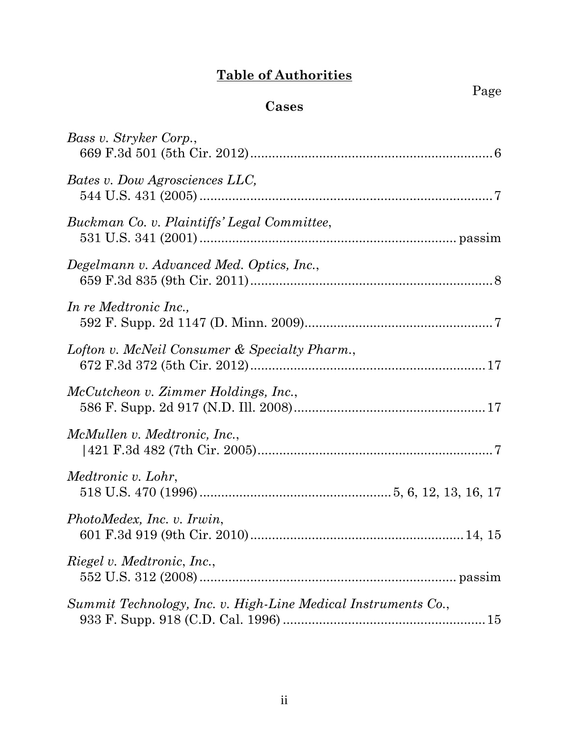# **Table of Authorities**

Page

# **Cases**

| Bass v. Stryker Corp.,                                              |
|---------------------------------------------------------------------|
| Bates v. Dow Agrosciences LLC,                                      |
| Buckman Co. v. Plaintiffs' Legal Committee,                         |
| Degelmann v. Advanced Med. Optics, Inc.,                            |
| In re Medtronic Inc.,                                               |
| Lofton v. McNeil Consumer & Specialty Pharm.,                       |
| McCutcheon v. Zimmer Holdings, Inc.,                                |
| McMullen v. Medtronic, Inc.,                                        |
| Medtronic v. Lohr,                                                  |
| PhotoMedex, Inc. v. Irwin,                                          |
| <i>Riegel v. Medtronic, Inc.,</i>                                   |
| Summit Technology, Inc. v. High-Line Medical Instruments Co.,<br>15 |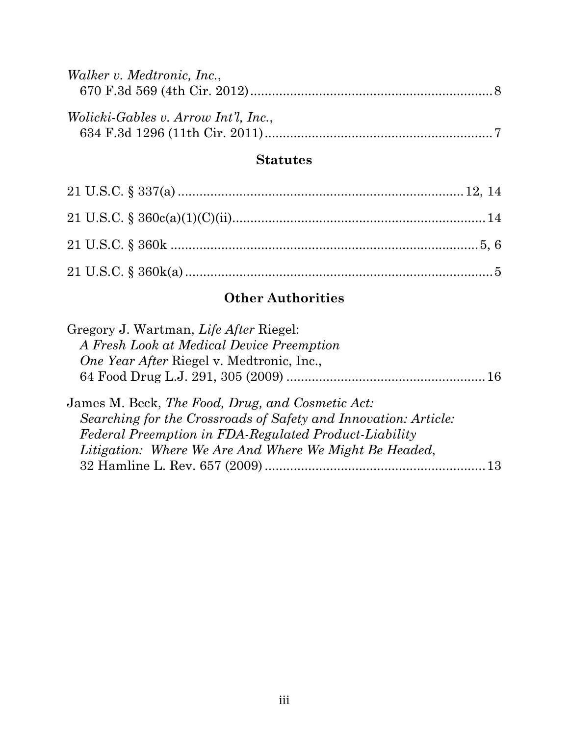| Walker v. Medtronic, Inc.,                  |  |
|---------------------------------------------|--|
|                                             |  |
|                                             |  |
| <i>Wolicki-Gables v. Arrow Int'l, Inc.,</i> |  |
|                                             |  |

#### **Statutes**

# **Other Authorities**

| Gregory J. Wartman, Life After Riegel:                                                                              |  |
|---------------------------------------------------------------------------------------------------------------------|--|
| A Fresh Look at Medical Device Preemption                                                                           |  |
| <i>One Year After Riegel v. Medtronic, Inc.,</i>                                                                    |  |
|                                                                                                                     |  |
| James M. Beck, The Food, Drug, and Cosmetic Act:<br>Searching for the Crossroads of Safety and Innovation: Article: |  |
| Federal Preemption in FDA-Regulated Product-Liability                                                               |  |
| Litigation: Where We Are And Where We Might Be Headed,                                                              |  |
|                                                                                                                     |  |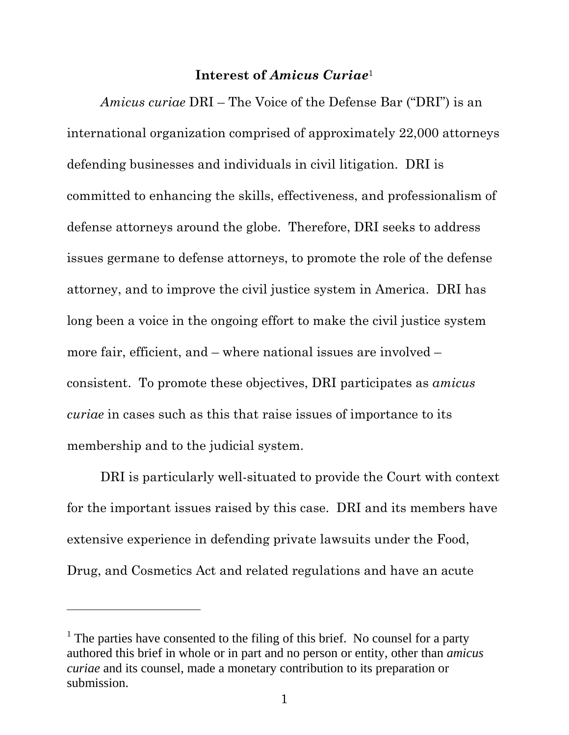#### **Interest of** *Amicus Curiae*<sup>1</sup>

*Amicus curiae* DRI – The Voice of the Defense Bar ("DRI") is an international organization comprised of approximately 22,000 attorneys defending businesses and individuals in civil litigation. DRI is committed to enhancing the skills, effectiveness, and professionalism of defense attorneys around the globe. Therefore, DRI seeks to address issues germane to defense attorneys, to promote the role of the defense attorney, and to improve the civil justice system in America. DRI has long been a voice in the ongoing effort to make the civil justice system more fair, efficient, and – where national issues are involved – consistent. To promote these objectives, DRI participates as *amicus curiae* in cases such as this that raise issues of importance to its membership and to the judicial system.

DRI is particularly well-situated to provide the Court with context for the important issues raised by this case. DRI and its members have extensive experience in defending private lawsuits under the Food, Drug, and Cosmetics Act and related regulations and have an acute

-

<sup>&</sup>lt;sup>1</sup> The parties have consented to the filing of this brief. No counsel for a party authored this brief in whole or in part and no person or entity, other than *amicus curiae* and its counsel, made a monetary contribution to its preparation or submission.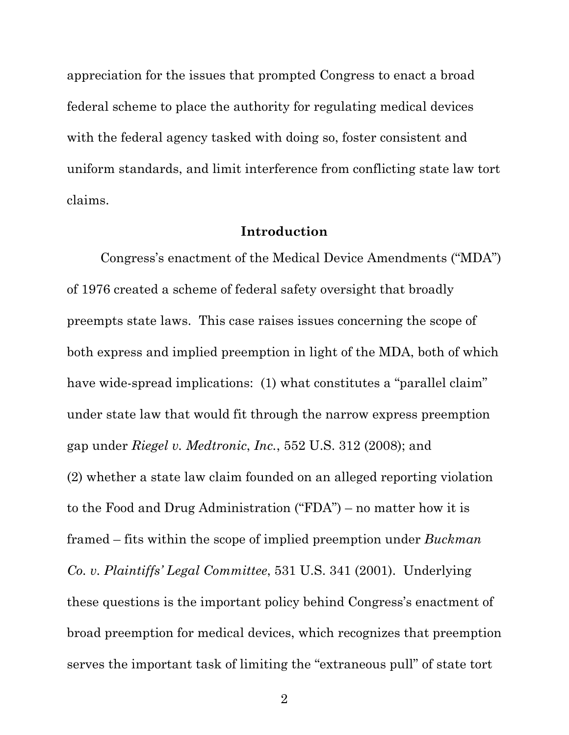appreciation for the issues that prompted Congress to enact a broad federal scheme to place the authority for regulating medical devices with the federal agency tasked with doing so, foster consistent and uniform standards, and limit interference from conflicting state law tort claims.

#### **Introduction**

Congress's enactment of the Medical Device Amendments ("MDA") of 1976 created a scheme of federal safety oversight that broadly preempts state laws. This case raises issues concerning the scope of both express and implied preemption in light of the MDA, both of which have wide-spread implications: (1) what constitutes a "parallel claim" under state law that would fit through the narrow express preemption gap under *Riegel v. Medtronic*, *Inc.*, 552 U.S. 312 (2008); and (2) whether a state law claim founded on an alleged reporting violation to the Food and Drug Administration ("FDA") – no matter how it is framed – fits within the scope of implied preemption under *Buckman Co. v. Plaintiffs' Legal Committee*, 531 U.S. 341 (2001). Underlying these questions is the important policy behind Congress's enactment of broad preemption for medical devices, which recognizes that preemption serves the important task of limiting the "extraneous pull" of state tort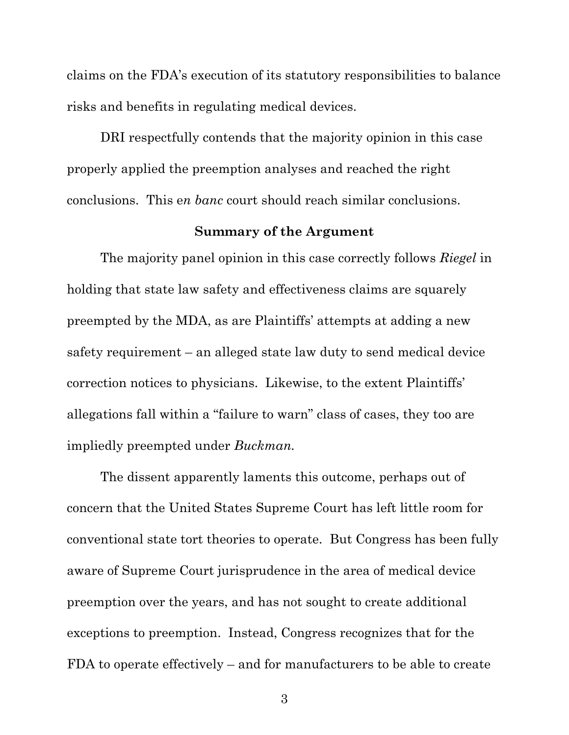claims on the FDA's execution of its statutory responsibilities to balance risks and benefits in regulating medical devices.

DRI respectfully contends that the majority opinion in this case properly applied the preemption analyses and reached the right conclusions. This e*n banc* court should reach similar conclusions.

#### **Summary of the Argument**

The majority panel opinion in this case correctly follows *Riegel* in holding that state law safety and effectiveness claims are squarely preempted by the MDA, as are Plaintiffs' attempts at adding a new safety requirement – an alleged state law duty to send medical device correction notices to physicians. Likewise, to the extent Plaintiffs' allegations fall within a "failure to warn" class of cases, they too are impliedly preempted under *Buckman.*

The dissent apparently laments this outcome, perhaps out of concern that the United States Supreme Court has left little room for conventional state tort theories to operate. But Congress has been fully aware of Supreme Court jurisprudence in the area of medical device preemption over the years, and has not sought to create additional exceptions to preemption. Instead, Congress recognizes that for the FDA to operate effectively – and for manufacturers to be able to create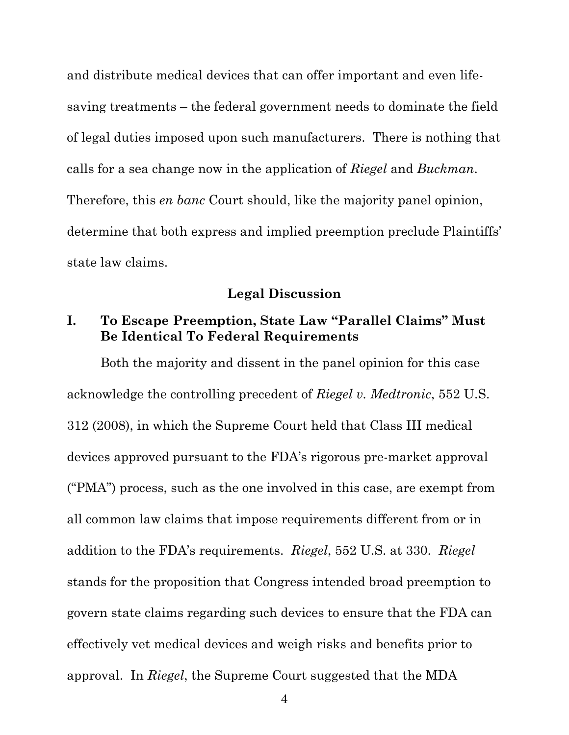and distribute medical devices that can offer important and even lifesaving treatments – the federal government needs to dominate the field of legal duties imposed upon such manufacturers. There is nothing that calls for a sea change now in the application of *Riegel* and *Buckman*. Therefore, this *en banc* Court should, like the majority panel opinion, determine that both express and implied preemption preclude Plaintiffs' state law claims.

#### **Legal Discussion**

## **I. To Escape Preemption, State Law "Parallel Claims" Must Be Identical To Federal Requirements**

Both the majority and dissent in the panel opinion for this case acknowledge the controlling precedent of *Riegel v. Medtronic*, 552 U.S. 312 (2008), in which the Supreme Court held that Class III medical devices approved pursuant to the FDA's rigorous pre-market approval ("PMA") process, such as the one involved in this case, are exempt from all common law claims that impose requirements different from or in addition to the FDA's requirements. *Riegel*, 552 U.S. at 330. *Riegel*  stands for the proposition that Congress intended broad preemption to govern state claims regarding such devices to ensure that the FDA can effectively vet medical devices and weigh risks and benefits prior to approval. In *Riegel*, the Supreme Court suggested that the MDA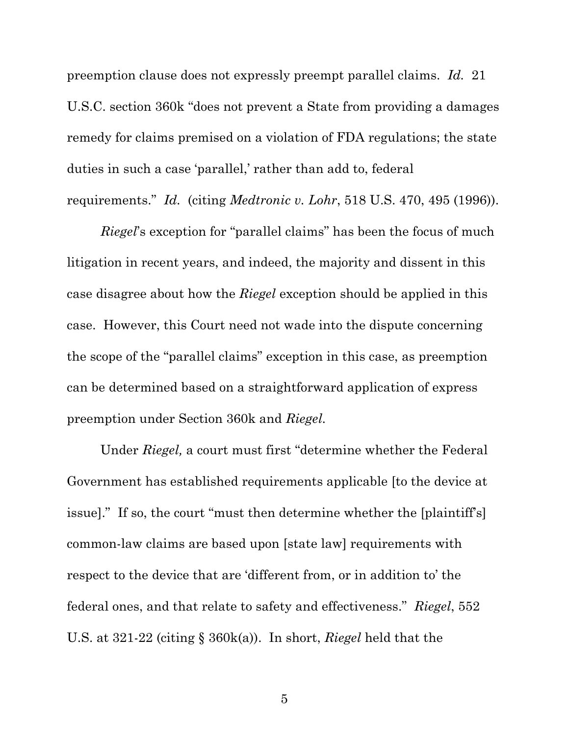preemption clause does not expressly preempt parallel claims. *Id.* 21 U.S.C. section 360k "does not prevent a State from providing a damages remedy for claims premised on a violation of FDA regulations; the state duties in such a case 'parallel,' rather than add to, federal requirements." *Id.* (citing *Medtronic v. Lohr*, 518 U.S. 470, 495 (1996)).

*Riegel*'s exception for "parallel claims" has been the focus of much litigation in recent years, and indeed, the majority and dissent in this case disagree about how the *Riegel* exception should be applied in this case. However, this Court need not wade into the dispute concerning the scope of the "parallel claims" exception in this case, as preemption can be determined based on a straightforward application of express preemption under Section 360k and *Riegel.*

Under *Riegel,* a court must first "determine whether the Federal Government has established requirements applicable [to the device at issue]." If so, the court "must then determine whether the [plaintiff's] common-law claims are based upon [state law] requirements with respect to the device that are 'different from, or in addition to' the federal ones, and that relate to safety and effectiveness." *Riegel*, 552 U.S. at 321-22 (citing § 360k(a)). In short, *Riegel* held that the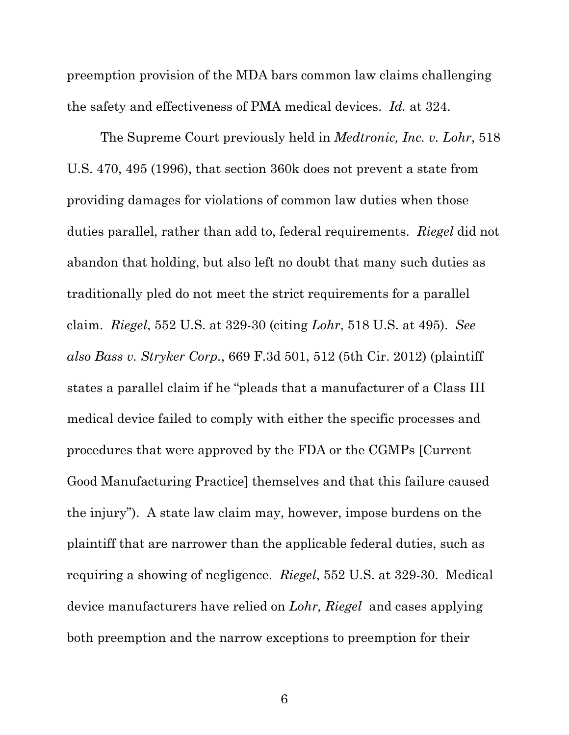preemption provision of the MDA bars common law claims challenging the safety and effectiveness of PMA medical devices. *Id.* at 324.

The Supreme Court previously held in *Medtronic, Inc. v. Lohr*, 518 U.S. 470, 495 (1996), that section 360k does not prevent a state from providing damages for violations of common law duties when those duties parallel, rather than add to, federal requirements. *Riegel* did not abandon that holding, but also left no doubt that many such duties as traditionally pled do not meet the strict requirements for a parallel claim. *Riegel*, 552 U.S. at 329-30 (citing *Lohr*, 518 U.S. at 495). *See also Bass v. Stryker Corp.*, 669 F.3d 501, 512 (5th Cir. 2012) (plaintiff states a parallel claim if he "pleads that a manufacturer of a Class III medical device failed to comply with either the specific processes and procedures that were approved by the FDA or the CGMPs [Current Good Manufacturing Practice] themselves and that this failure caused the injury"). A state law claim may, however, impose burdens on the plaintiff that are narrower than the applicable federal duties, such as requiring a showing of negligence. *Riegel*, 552 U.S. at 329-30. Medical device manufacturers have relied on *Lohr, Riegel* and cases applying both preemption and the narrow exceptions to preemption for their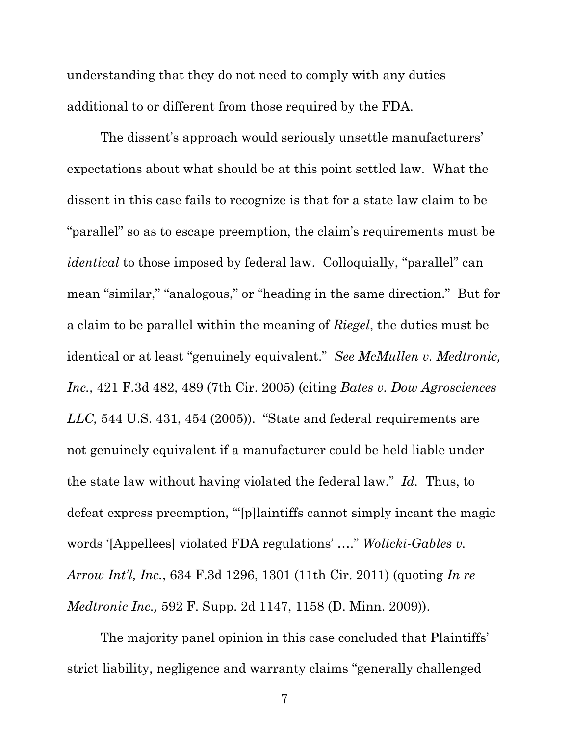understanding that they do not need to comply with any duties additional to or different from those required by the FDA.

The dissent's approach would seriously unsettle manufacturers' expectations about what should be at this point settled law. What the dissent in this case fails to recognize is that for a state law claim to be "parallel" so as to escape preemption, the claim's requirements must be *identical* to those imposed by federal law. Colloquially, "parallel" can mean "similar," "analogous," or "heading in the same direction." But for a claim to be parallel within the meaning of *Riegel*, the duties must be identical or at least "genuinely equivalent." *See McMullen v. Medtronic, Inc.*, 421 F.3d 482, 489 (7th Cir. 2005) (citing *Bates v. Dow Agrosciences LLC,* 544 U.S. 431, 454 (2005)). "State and federal requirements are not genuinely equivalent if a manufacturer could be held liable under the state law without having violated the federal law." *Id.* Thus, to defeat express preemption, "'[p]laintiffs cannot simply incant the magic words '[Appellees] violated FDA regulations' …." *Wolicki-Gables v. Arrow Int'l, Inc.*, 634 F.3d 1296, 1301 (11th Cir. 2011) (quoting *In re Medtronic Inc.,* 592 F. Supp. 2d 1147, 1158 (D. Minn. 2009)).

The majority panel opinion in this case concluded that Plaintiffs' strict liability, negligence and warranty claims "generally challenged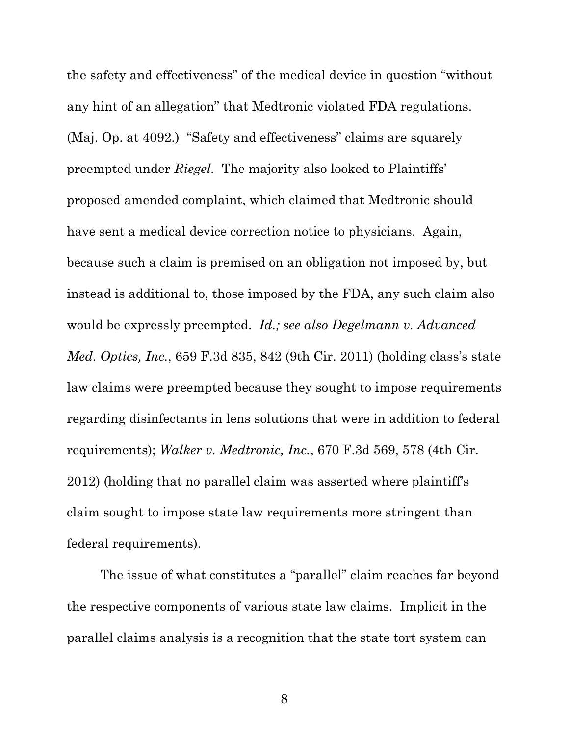the safety and effectiveness" of the medical device in question "without any hint of an allegation" that Medtronic violated FDA regulations. (Maj. Op. at 4092.) "Safety and effectiveness" claims are squarely preempted under *Riegel.* The majority also looked to Plaintiffs' proposed amended complaint, which claimed that Medtronic should have sent a medical device correction notice to physicians. Again, because such a claim is premised on an obligation not imposed by, but instead is additional to, those imposed by the FDA, any such claim also would be expressly preempted. *Id.; see also Degelmann v. Advanced Med. Optics, Inc.*, 659 F.3d 835, 842 (9th Cir. 2011) (holding class's state law claims were preempted because they sought to impose requirements regarding disinfectants in lens solutions that were in addition to federal requirements); *Walker v. Medtronic, Inc.*, 670 F.3d 569, 578 (4th Cir. 2012) (holding that no parallel claim was asserted where plaintiff's claim sought to impose state law requirements more stringent than federal requirements).

The issue of what constitutes a "parallel" claim reaches far beyond the respective components of various state law claims. Implicit in the parallel claims analysis is a recognition that the state tort system can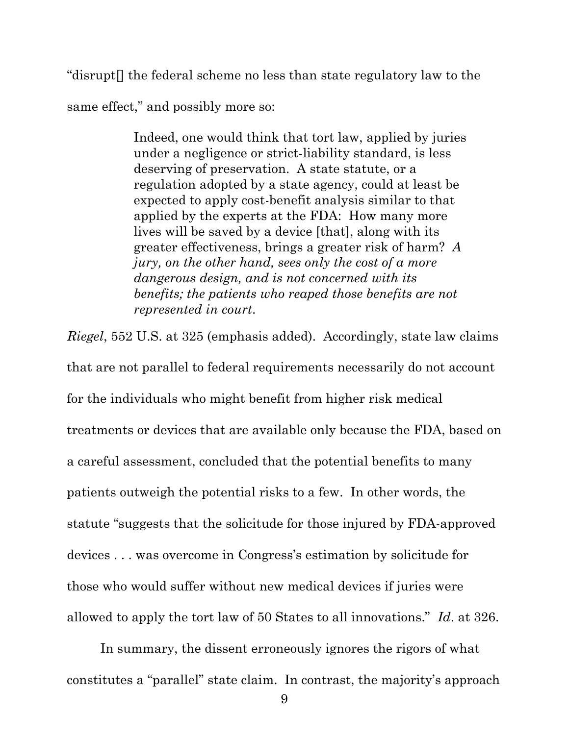"disrupt[] the federal scheme no less than state regulatory law to the

same effect," and possibly more so:

Indeed, one would think that tort law, applied by juries under a negligence or strict-liability standard, is less deserving of preservation. A state statute, or a regulation adopted by a state agency, could at least be expected to apply cost-benefit analysis similar to that applied by the experts at the FDA: How many more lives will be saved by a device [that], along with its greater effectiveness, brings a greater risk of harm? *A jury, on the other hand, sees only the cost of a more dangerous design, and is not concerned with its benefits; the patients who reaped those benefits are not represented in court*.

*Riegel*, 552 U.S. at 325 (emphasis added). Accordingly, state law claims that are not parallel to federal requirements necessarily do not account for the individuals who might benefit from higher risk medical treatments or devices that are available only because the FDA, based on a careful assessment, concluded that the potential benefits to many patients outweigh the potential risks to a few. In other words, the statute "suggests that the solicitude for those injured by FDA-approved devices . . . was overcome in Congress's estimation by solicitude for those who would suffer without new medical devices if juries were allowed to apply the tort law of 50 States to all innovations." *Id*. at 326.

In summary, the dissent erroneously ignores the rigors of what constitutes a "parallel" state claim. In contrast, the majority's approach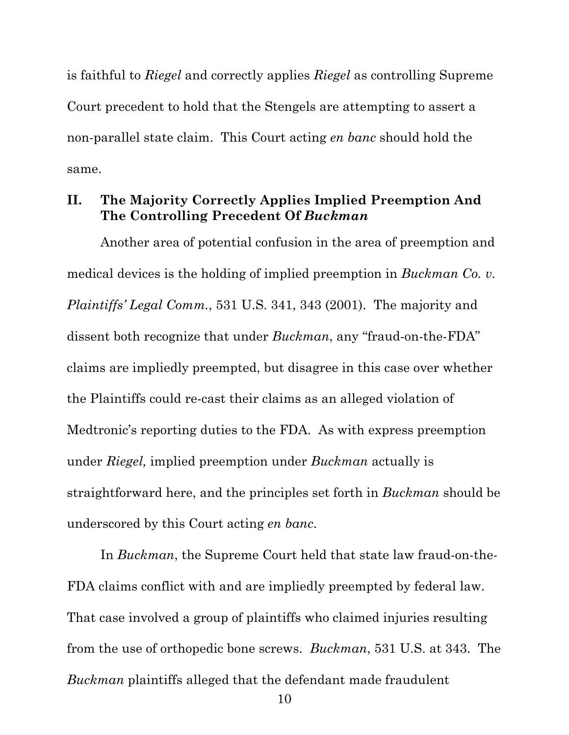is faithful to *Riegel* and correctly applies *Riegel* as controlling Supreme Court precedent to hold that the Stengels are attempting to assert a non-parallel state claim. This Court acting *en banc* should hold the same.

## **II. The Majority Correctly Applies Implied Preemption And The Controlling Precedent Of** *Buckman*

Another area of potential confusion in the area of preemption and medical devices is the holding of implied preemption in *Buckman Co. v. Plaintiffs' Legal Comm.*, 531 U.S. 341, 343 (2001). The majority and dissent both recognize that under *Buckman*, any "fraud-on-the-FDA" claims are impliedly preempted, but disagree in this case over whether the Plaintiffs could re-cast their claims as an alleged violation of Medtronic's reporting duties to the FDA. As with express preemption under *Riegel,* implied preemption under *Buckman* actually is straightforward here, and the principles set forth in *Buckman* should be underscored by this Court acting *en banc*.

In *Buckman*, the Supreme Court held that state law fraud-on-the-FDA claims conflict with and are impliedly preempted by federal law. That case involved a group of plaintiffs who claimed injuries resulting from the use of orthopedic bone screws. *Buckman*, 531 U.S. at 343. The *Buckman* plaintiffs alleged that the defendant made fraudulent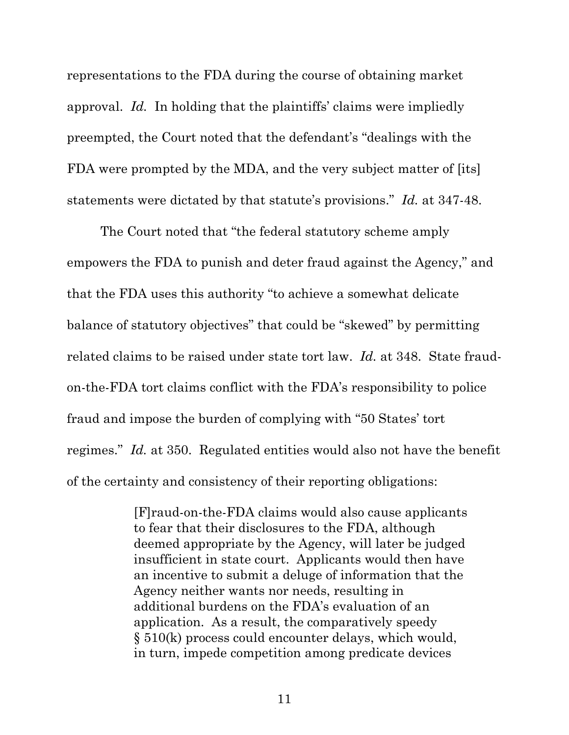representations to the FDA during the course of obtaining market approval. *Id.* In holding that the plaintiffs' claims were impliedly preempted, the Court noted that the defendant's "dealings with the FDA were prompted by the MDA, and the very subject matter of [its] statements were dictated by that statute's provisions." *Id.* at 347-48.

The Court noted that "the federal statutory scheme amply empowers the FDA to punish and deter fraud against the Agency," and that the FDA uses this authority "to achieve a somewhat delicate balance of statutory objectives" that could be "skewed" by permitting related claims to be raised under state tort law. *Id.* at 348. State fraudon-the-FDA tort claims conflict with the FDA's responsibility to police fraud and impose the burden of complying with "50 States' tort regimes." *Id.* at 350. Regulated entities would also not have the benefit of the certainty and consistency of their reporting obligations:

> [F]raud-on-the-FDA claims would also cause applicants to fear that their disclosures to the FDA, although deemed appropriate by the Agency, will later be judged insufficient in state court. Applicants would then have an incentive to submit a deluge of information that the Agency neither wants nor needs, resulting in additional burdens on the FDA's evaluation of an application. As a result, the comparatively speedy § 510(k) process could encounter delays, which would, in turn, impede competition among predicate devices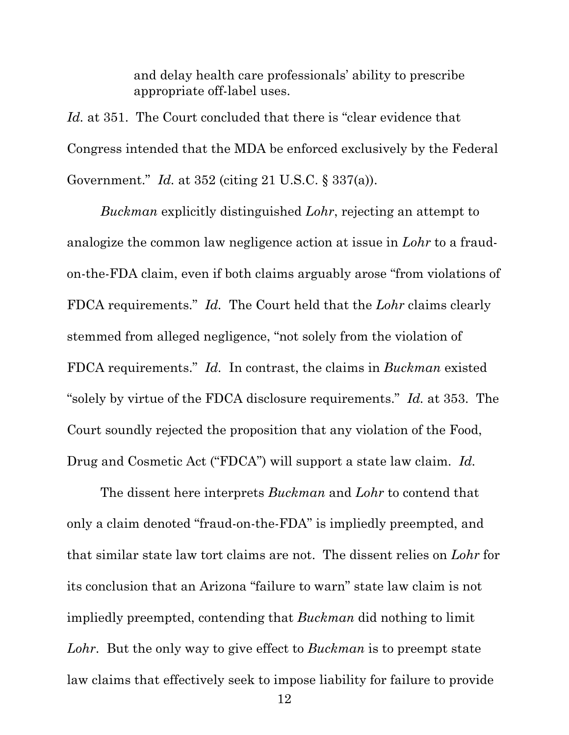and delay health care professionals' ability to prescribe appropriate off-label uses.

*Id.* at 351. The Court concluded that there is "clear evidence that Congress intended that the MDA be enforced exclusively by the Federal Government." *Id.* at 352 (citing 21 U.S.C. § 337(a)).

*Buckman* explicitly distinguished *Lohr*, rejecting an attempt to analogize the common law negligence action at issue in *Lohr* to a fraudon-the-FDA claim, even if both claims arguably arose "from violations of FDCA requirements." *Id.* The Court held that the *Lohr* claims clearly stemmed from alleged negligence, "not solely from the violation of FDCA requirements." *Id.* In contrast, the claims in *Buckman* existed "solely by virtue of the FDCA disclosure requirements." *Id.* at 353. The Court soundly rejected the proposition that any violation of the Food, Drug and Cosmetic Act ("FDCA") will support a state law claim. *Id.*

The dissent here interprets *Buckman* and *Lohr* to contend that only a claim denoted "fraud-on-the-FDA" is impliedly preempted, and that similar state law tort claims are not. The dissent relies on *Lohr* for its conclusion that an Arizona "failure to warn" state law claim is not impliedly preempted, contending that *Buckman* did nothing to limit *Lohr*. But the only way to give effect to *Buckman* is to preempt state law claims that effectively seek to impose liability for failure to provide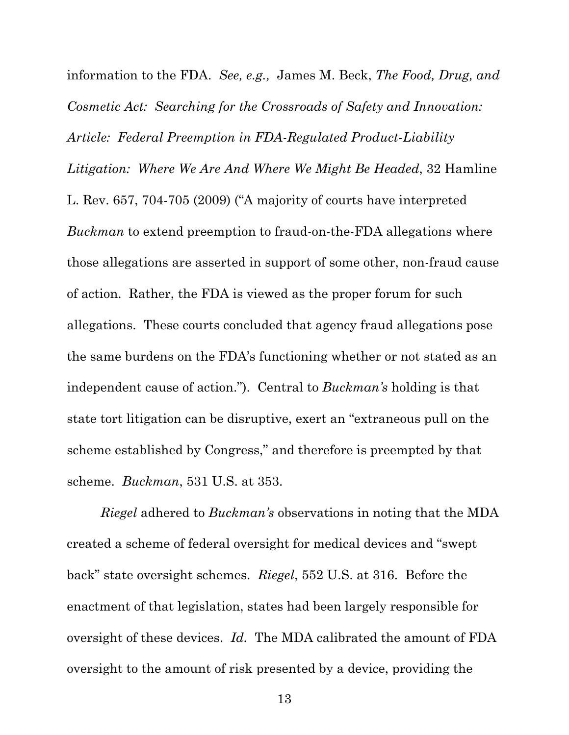information to the FDA. *See, e.g.,* James M. Beck, *The Food, Drug, and Cosmetic Act: Searching for the Crossroads of Safety and Innovation: Article: Federal Preemption in FDA-Regulated Product-Liability Litigation: Where We Are And Where We Might Be Headed*, 32 Hamline L. Rev. 657, 704-705 (2009) ("A majority of courts have interpreted *Buckman* to extend preemption to fraud-on-the-FDA allegations where those allegations are asserted in support of some other, non-fraud cause of action. Rather, the FDA is viewed as the proper forum for such allegations. These courts concluded that agency fraud allegations pose the same burdens on the FDA's functioning whether or not stated as an independent cause of action."). Central to *Buckman's* holding is that state tort litigation can be disruptive, exert an "extraneous pull on the scheme established by Congress," and therefore is preempted by that scheme. *Buckman*, 531 U.S. at 353.

*Riegel* adhered to *Buckman's* observations in noting that the MDA created a scheme of federal oversight for medical devices and "swept back" state oversight schemes. *Riegel*, 552 U.S. at 316. Before the enactment of that legislation, states had been largely responsible for oversight of these devices. *Id.* The MDA calibrated the amount of FDA oversight to the amount of risk presented by a device, providing the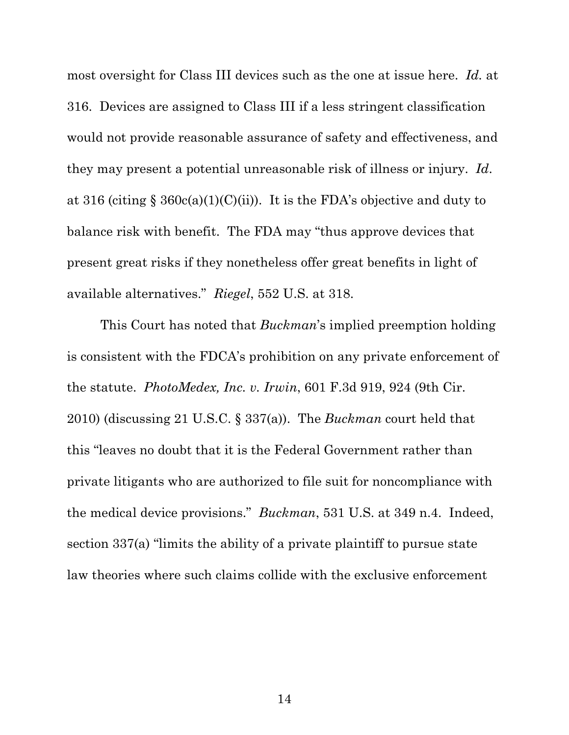most oversight for Class III devices such as the one at issue here. *Id.* at 316. Devices are assigned to Class III if a less stringent classification would not provide reasonable assurance of safety and effectiveness, and they may present a potential unreasonable risk of illness or injury. *Id*. at 316 (citing  $\S$  360c(a)(1)(C)(ii)). It is the FDA's objective and duty to balance risk with benefit. The FDA may "thus approve devices that present great risks if they nonetheless offer great benefits in light of available alternatives." *Riegel*, 552 U.S. at 318.

This Court has noted that *Buckman*'s implied preemption holding is consistent with the FDCA's prohibition on any private enforcement of the statute. *PhotoMedex, Inc. v. Irwin*, 601 F.3d 919, 924 (9th Cir. 2010) (discussing 21 U.S.C. § 337(a)). The *Buckman* court held that this "leaves no doubt that it is the Federal Government rather than private litigants who are authorized to file suit for noncompliance with the medical device provisions." *Buckman*, 531 U.S. at 349 n.4. Indeed, section 337(a) "limits the ability of a private plaintiff to pursue state law theories where such claims collide with the exclusive enforcement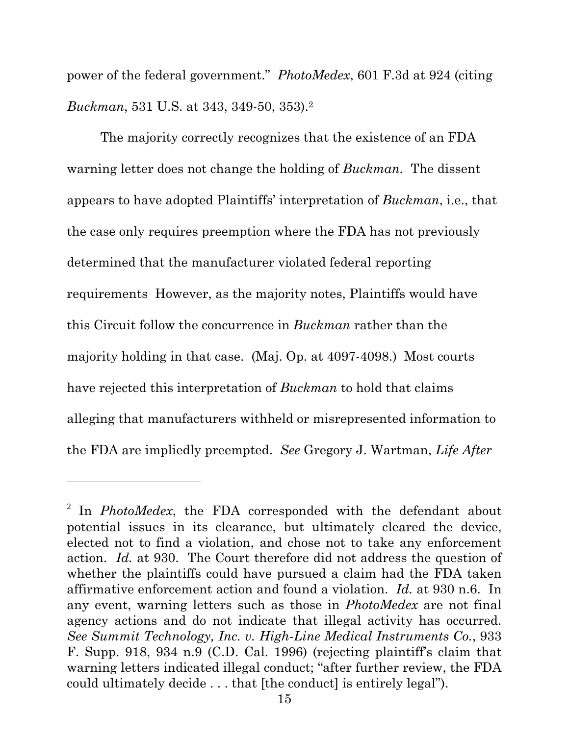power of the federal government." *PhotoMedex*, 601 F.3d at 924 (citing *Buckman*, 531 U.S. at 343, 349-50, 353).<sup>2</sup>

The majority correctly recognizes that the existence of an FDA warning letter does not change the holding of *Buckman.* The dissent appears to have adopted Plaintiffs' interpretation of *Buckman*, i.e., that the case only requires preemption where the FDA has not previously determined that the manufacturer violated federal reporting requirements However, as the majority notes, Plaintiffs would have this Circuit follow the concurrence in *Buckman* rather than the majority holding in that case. (Maj. Op. at 4097-4098.) Most courts have rejected this interpretation of *Buckman* to hold that claims alleging that manufacturers withheld or misrepresented information to the FDA are impliedly preempted. *See* Gregory J. Wartman, *Life After* 

-

<sup>2</sup> In *PhotoMedex*, the FDA corresponded with the defendant about potential issues in its clearance, but ultimately cleared the device, elected not to find a violation, and chose not to take any enforcement action. *Id.* at 930. The Court therefore did not address the question of whether the plaintiffs could have pursued a claim had the FDA taken affirmative enforcement action and found a violation. *Id.* at 930 n.6. In any event, warning letters such as those in *PhotoMedex* are not final agency actions and do not indicate that illegal activity has occurred. *See Summit Technology, Inc. v. High-Line Medical Instruments Co.*, 933 F. Supp. 918, 934 n.9 (C.D. Cal. 1996) (rejecting plaintiff's claim that warning letters indicated illegal conduct; "after further review, the FDA could ultimately decide . . . that [the conduct] is entirely legal").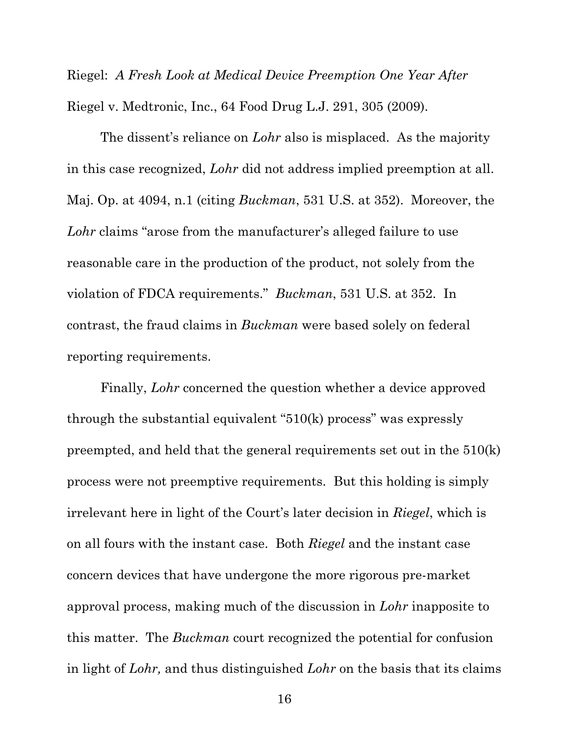Riegel: *A Fresh Look at Medical Device Preemption One Year After*  Riegel v. Medtronic, Inc., 64 Food Drug L.J. 291, 305 (2009).

The dissent's reliance on *Lohr* also is misplaced. As the majority in this case recognized, *Lohr* did not address implied preemption at all. Maj. Op. at 4094, n.1 (citing *Buckman*, 531 U.S. at 352). Moreover, the *Lohr* claims "arose from the manufacturer's alleged failure to use reasonable care in the production of the product, not solely from the violation of FDCA requirements." *Buckman*, 531 U.S. at 352. In contrast, the fraud claims in *Buckman* were based solely on federal reporting requirements.

Finally, *Lohr* concerned the question whether a device approved through the substantial equivalent "510(k) process" was expressly preempted, and held that the general requirements set out in the 510(k) process were not preemptive requirements. But this holding is simply irrelevant here in light of the Court's later decision in *Riegel*, which is on all fours with the instant case. Both *Riegel* and the instant case concern devices that have undergone the more rigorous pre-market approval process, making much of the discussion in *Lohr* inapposite to this matter. The *Buckman* court recognized the potential for confusion in light of *Lohr,* and thus distinguished *Lohr* on the basis that its claims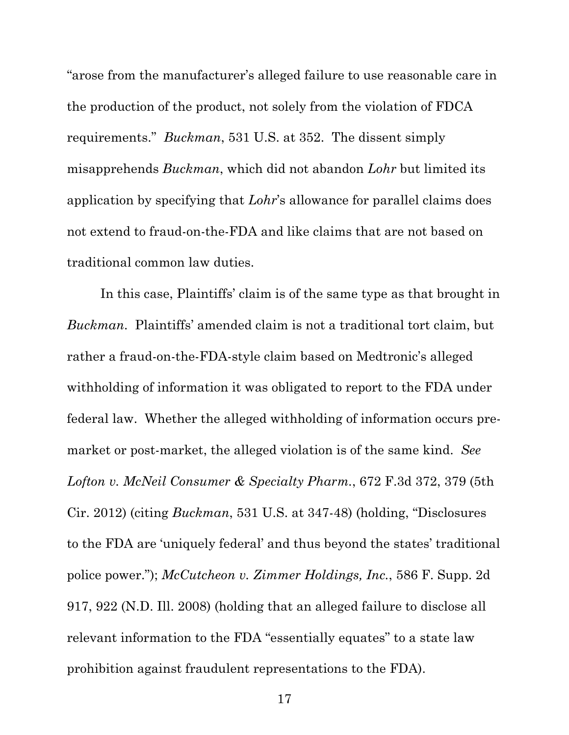"arose from the manufacturer's alleged failure to use reasonable care in the production of the product, not solely from the violation of FDCA requirements." *Buckman*, 531 U.S. at 352. The dissent simply misapprehends *Buckman*, which did not abandon *Lohr* but limited its application by specifying that *Lohr*'s allowance for parallel claims does not extend to fraud-on-the-FDA and like claims that are not based on traditional common law duties.

In this case, Plaintiffs' claim is of the same type as that brought in *Buckman*. Plaintiffs' amended claim is not a traditional tort claim, but rather a fraud-on-the-FDA-style claim based on Medtronic's alleged withholding of information it was obligated to report to the FDA under federal law. Whether the alleged withholding of information occurs premarket or post-market, the alleged violation is of the same kind. *See Lofton v. McNeil Consumer & Specialty Pharm.*, 672 F.3d 372, 379 (5th Cir. 2012) (citing *Buckman*, 531 U.S. at 347-48) (holding, "Disclosures to the FDA are 'uniquely federal' and thus beyond the states' traditional police power."); *McCutcheon v. Zimmer Holdings, Inc.*, 586 F. Supp. 2d 917, 922 (N.D. Ill. 2008) (holding that an alleged failure to disclose all relevant information to the FDA "essentially equates" to a state law prohibition against fraudulent representations to the FDA).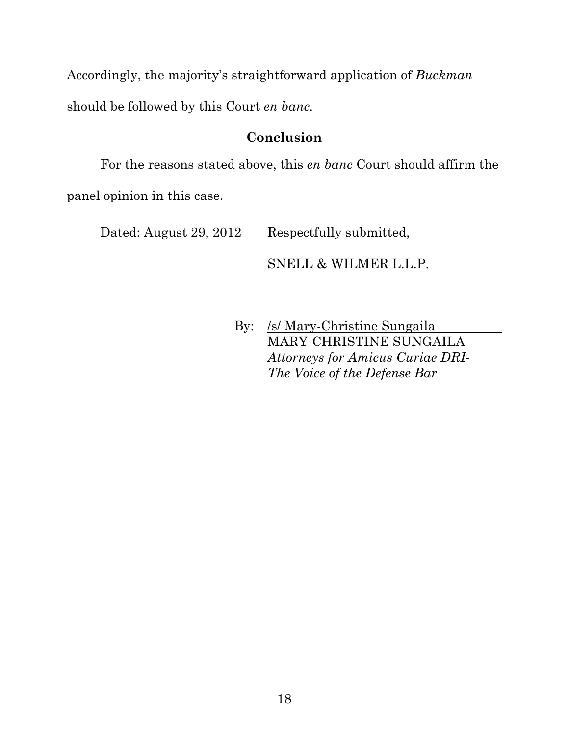Accordingly, the majority's straightforward application of *Buckman*

should be followed by this Court *en banc.* 

# **Conclusion**

For the reasons stated above, this *en banc* Court should affirm the panel opinion in this case.

Dated: August 29, 2012 Respectfully submitted,

SNELL & WILMER L.L.P.

 By: /s/ Mary-Christine Sungaila MARY-CHRISTINE SUNGAILA *Attorneys for Amicus Curiae DRI-The Voice of the Defense Bar*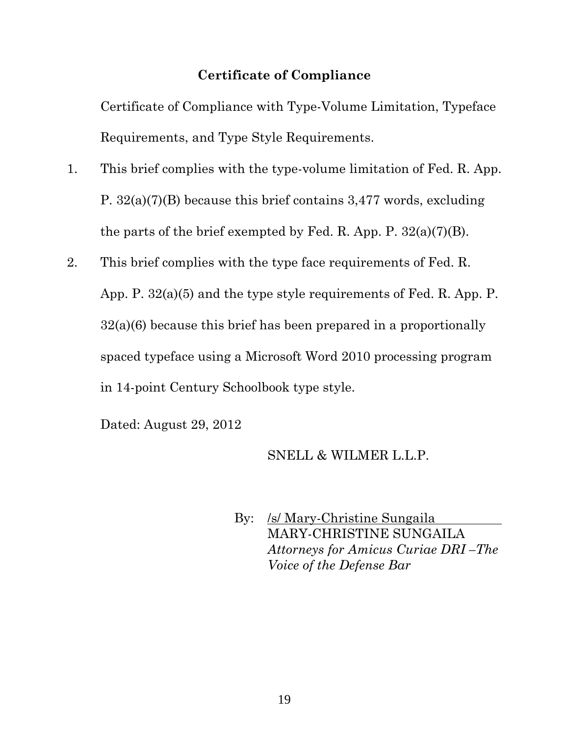## **Certificate of Compliance**

Certificate of Compliance with Type-Volume Limitation, Typeface Requirements, and Type Style Requirements.

- 1. This brief complies with the type-volume limitation of Fed. R. App. P. 32(a)(7)(B) because this brief contains 3,477 words, excluding the parts of the brief exempted by Fed. R. App. P. 32(a)(7)(B).
- 2. This brief complies with the type face requirements of Fed. R. App. P. 32(a)(5) and the type style requirements of Fed. R. App. P. 32(a)(6) because this brief has been prepared in a proportionally spaced typeface using a Microsoft Word 2010 processing program in 14-point Century Schoolbook type style.

Dated: August 29, 2012

#### SNELL & WILMER L.L.P.

By: /s/ Mary-Christine Sungaila MARY-CHRISTINE SUNGAILA *Attorneys for Amicus Curiae DRI –The Voice of the Defense Bar*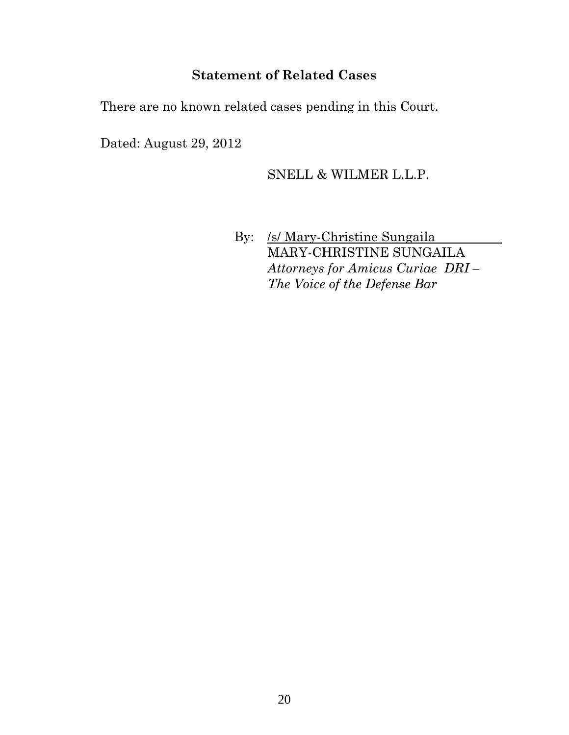# **Statement of Related Cases**

There are no known related cases pending in this Court.

Dated: August 29, 2012

## SNELL & WILMER L.L.P.

By: /s/ Mary-Christine Sungaila MARY-CHRISTINE SUNGAILA *Attorneys for Amicus Curiae DRI – The Voice of the Defense Bar*